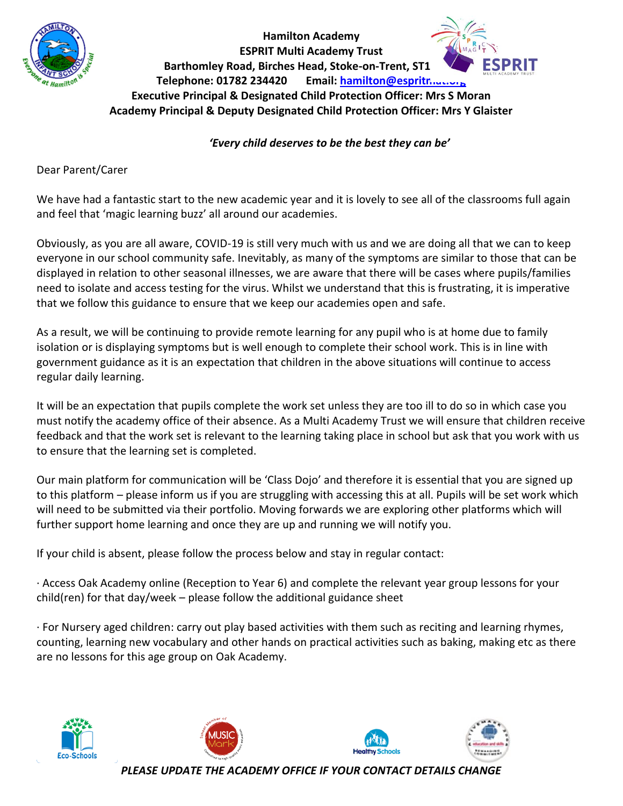

## **Hamilton Academy ESPRIT Multi Academy Trust Barthomley Road, Birches Head, Stoke-on-Trent, ST1 Telephone: 01782 234420 Email: [hamilton@espritmat.org](mailto:hamilton@espritmat.org) Executive Principal & Designated Child Protection Officer: Mrs S Moran Academy Principal & Deputy Designated Child Protection Officer: Mrs Y Glaister**

## *'Every child deserves to be the best they can be'*

Dear Parent/Carer

We have had a fantastic start to the new academic year and it is lovely to see all of the classrooms full again and feel that 'magic learning buzz' all around our academies.

Obviously, as you are all aware, COVID-19 is still very much with us and we are doing all that we can to keep everyone in our school community safe. Inevitably, as many of the symptoms are similar to those that can be displayed in relation to other seasonal illnesses, we are aware that there will be cases where pupils/families need to isolate and access testing for the virus. Whilst we understand that this is frustrating, it is imperative that we follow this guidance to ensure that we keep our academies open and safe.

As a result, we will be continuing to provide remote learning for any pupil who is at home due to family isolation or is displaying symptoms but is well enough to complete their school work. This is in line with government guidance as it is an expectation that children in the above situations will continue to access regular daily learning.

It will be an expectation that pupils complete the work set unless they are too ill to do so in which case you must notify the academy office of their absence. As a Multi Academy Trust we will ensure that children receive feedback and that the work set is relevant to the learning taking place in school but ask that you work with us to ensure that the learning set is completed.

Our main platform for communication will be 'Class Dojo' and therefore it is essential that you are signed up to this platform – please inform us if you are struggling with accessing this at all. Pupils will be set work which will need to be submitted via their portfolio. Moving forwards we are exploring other platforms which will further support home learning and once they are up and running we will notify you.

If your child is absent, please follow the process below and stay in regular contact:

· Access Oak Academy online (Reception to Year 6) and complete the relevant year group lessons for your child(ren) for that day/week – please follow the additional guidance sheet

· For Nursery aged children: carry out play based activities with them such as reciting and learning rhymes, counting, learning new vocabulary and other hands on practical activities such as baking, making etc as there are no lessons for this age group on Oak Academy.